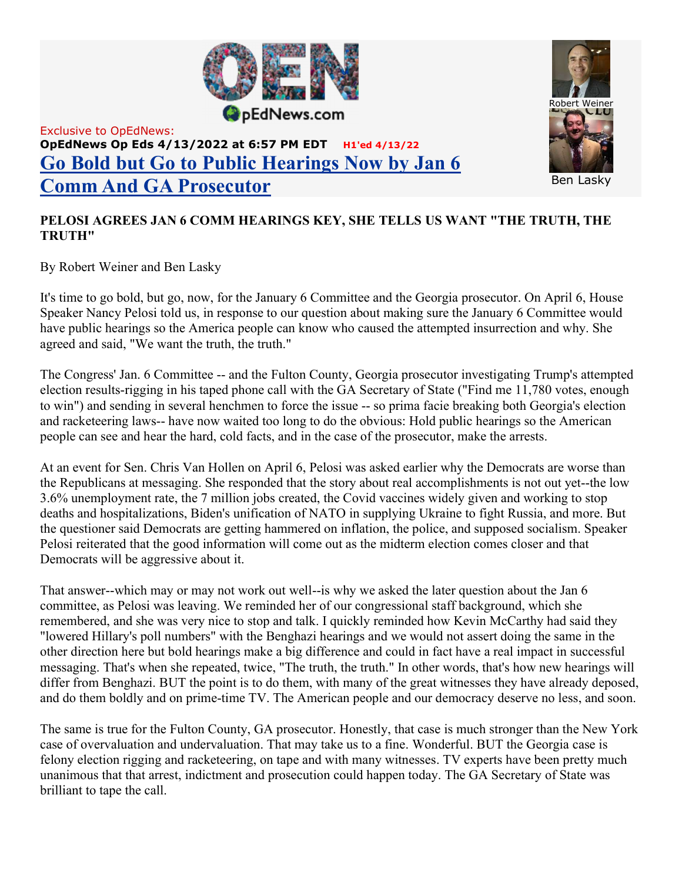

## Exclusive to OpEdNews: OpEdNews Op Eds 4/13/2022 at 6:57 PM EDT H1'ed 4/13/22 Go Bold but Go to Public Hearings Now by Jan 6 Comm And GA Prosecutor



## PELOSI AGREES JAN 6 COMM HEARINGS KEY, SHE TELLS US WANT "THE TRUTH, THE TRUTH"

By Robert Weiner and Ben Lasky

It's time to go bold, but go, now, for the January 6 Committee and the Georgia prosecutor. On April 6, House Speaker Nancy Pelosi told us, in response to our question about making sure the January 6 Committee would have public hearings so the America people can know who caused the attempted insurrection and why. She agreed and said, "We want the truth, the truth."

The Congress' Jan. 6 Committee -- and the Fulton County, Georgia prosecutor investigating Trump's attempted election results-rigging in his taped phone call with the GA Secretary of State ("Find me 11,780 votes, enough to win") and sending in several henchmen to force the issue -- so prima facie breaking both Georgia's election and racketeering laws-- have now waited too long to do the obvious: Hold public hearings so the American people can see and hear the hard, cold facts, and in the case of the prosecutor, make the arrests.

At an event for Sen. Chris Van Hollen on April 6, Pelosi was asked earlier why the Democrats are worse than the Republicans at messaging. She responded that the story about real accomplishments is not out yet--the low 3.6% unemployment rate, the 7 million jobs created, the Covid vaccines widely given and working to stop deaths and hospitalizations, Biden's unification of NATO in supplying Ukraine to fight Russia, and more. But the questioner said Democrats are getting hammered on inflation, the police, and supposed socialism. Speaker Pelosi reiterated that the good information will come out as the midterm election comes closer and that Democrats will be aggressive about it.

That answer--which may or may not work out well--is why we asked the later question about the Jan 6 committee, as Pelosi was leaving. We reminded her of our congressional staff background, which she remembered, and she was very nice to stop and talk. I quickly reminded how Kevin McCarthy had said they "lowered Hillary's poll numbers" with the Benghazi hearings and we would not assert doing the same in the other direction here but bold hearings make a big difference and could in fact have a real impact in successful messaging. That's when she repeated, twice, "The truth, the truth." In other words, that's how new hearings will differ from Benghazi. BUT the point is to do them, with many of the great witnesses they have already deposed, and do them boldly and on prime-time TV. The American people and our democracy deserve no less, and soon.

The same is true for the Fulton County, GA prosecutor. Honestly, that case is much stronger than the New York case of overvaluation and undervaluation. That may take us to a fine. Wonderful. BUT the Georgia case is felony election rigging and racketeering, on tape and with many witnesses. TV experts have been pretty much unanimous that that arrest, indictment and prosecution could happen today. The GA Secretary of State was brilliant to tape the call.